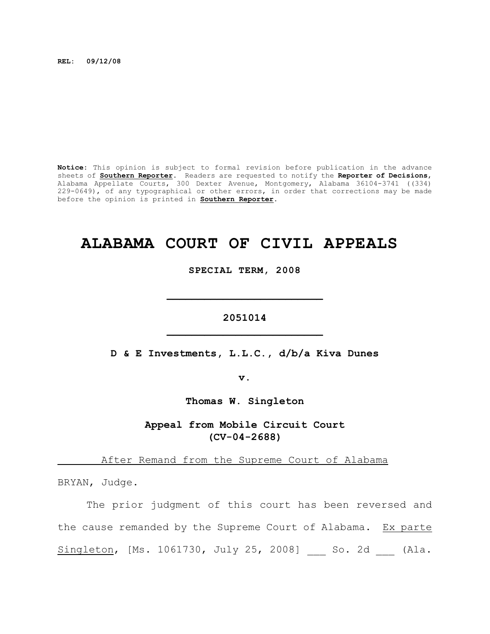**REL: 09/12/08**

**Notice:** This opinion is subject to formal revision before publication in the advance sheets of **Southern Reporter**. Readers are requested to notify the **Reporter of Decisions**, Alabama Appellate Courts, 300 Dexter Avenue, Montgomery, Alabama 36104-3741 ((334) 229-0649), of any typographical or other errors, in order that corrections may be made before the opinion is printed in **Southern Reporter**.

## **ALABAMA COURT OF CIVIL APPEALS**

**SPECIAL TERM, 2008**

**2051014 \_\_\_\_\_\_\_\_\_\_\_\_\_\_\_\_\_\_\_\_\_\_\_\_\_**

**\_\_\_\_\_\_\_\_\_\_\_\_\_\_\_\_\_\_\_\_\_\_\_\_\_**

**D & E Investments, L.L.C., d/b/a Kiva Dunes**

**v.**

**Thomas W. Singleton**

**Appeal from Mobile Circuit Court (CV-04-2688)**

After Remand from the Supreme Court of Alabama

BRYAN, Judge.

The prior judgment of this court has been reversed and the cause remanded by the Supreme Court of Alabama. Ex parte Singleton, [Ms. 1061730, July 25, 2008] \_\_ So. 2d \_\_ (Ala.